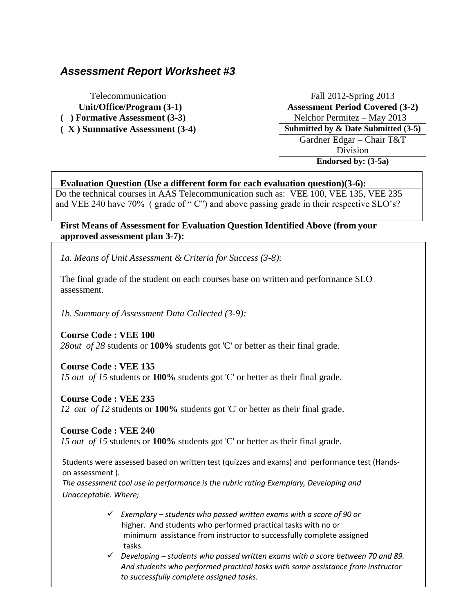# *Assessment Report Worksheet #3*

Telecommunication Fall 2012-Spring 2013 **Unit/Office/Program (3-1) Assessment Period Covered (3-2) ( ) Formative Assessment (3-3)** Nelchor Permitez – May 2013 **( X ) Summative Assessment (3-4) Submitted by & Date Submitted (3-5)** Gardner Edgar – Chair T&T Division **Endorsed by: (3-5a)**

## **Evaluation Question (Use a different form for each evaluation question)(3-6):**

Do the technical courses in AAS Telecommunication such as: VEE 100, VEE 135, VEE 235 and VEE 240 have 70% ( grade of " C") and above passing grade in their respective SLO's?

### **First Means of Assessment for Evaluation Question Identified Above (from your approved assessment plan 3-7):**

*1a. Means of Unit Assessment & Criteria for Success (3-8)*:

The final grade of the student on each courses base on written and performance SLO assessment.

*1b. Summary of Assessment Data Collected (3-9):*

**Course Code : VEE 100**

*28out of 28* students or **100%** students got 'C' or better as their final grade.

**Course Code : VEE 135**

*15 out of 15* students or **100%** students got 'C' or better as their final grade.

### **Course Code : VEE 235**

*12 out of 12* students or **100%** students got 'C' or better as their final grade.

**Course Code : VEE 240**

*15 out of 15* students or **100%** students got 'C' or better as their final grade.

Students were assessed based on written test (quizzes and exams) and performance test (Handson assessment ).

*The assessment tool use in performance is the rubric rating Exemplary, Developing and Unacceptable. Where;*

- *Exemplary – students who passed written exams with a score of 90 or*  higher. And students who performed practical tasks with no or minimum assistance from instructor to successfully complete assigned tasks.
- *Developing – students who passed written exams with a score between 70 and 89. And students who performed practical tasks with some assistance from instructor to successfully complete assigned tasks.*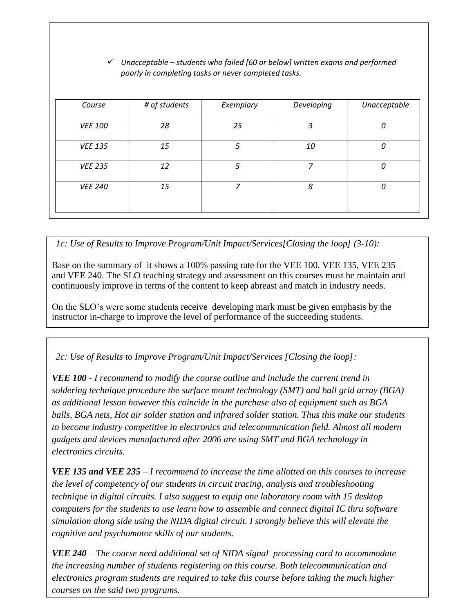### *Unacceptable – students who failed [60 or below] written exams and performed poorly in completing tasks or never completed tasks.*

| Course         | # of students | Exemplary | Developing | Unacceptable |
|----------------|---------------|-----------|------------|--------------|
| <b>VEE 100</b> | 28            | 25        | 3          | 0            |
| <b>VEE 135</b> | 15            | 5         | 10         | 0            |
| <b>VEE 235</b> | 12            | 5         | 7          | $\Omega$     |
| <b>VEE 240</b> | 15            | 7         | 8          | 0            |
|                |               |           |            |              |

*1c: Use of Results to Improve Program/Unit Impact/Services[Closing the loop] (3-10):*

Base on the summary of it shows a 100% passing rate for the VEE 100, VEE 135, VEE 235 and VEE 240. The SLO teaching strategy and assessment on this courses must be maintain and continuously improve in terms of the content to keep abreast and match in industry needs.

On the SLO's were some students receive developing mark must be given emphasis by the instructor in-charge to improve the level of performance of the succeeding students.

*2c: Use of Results to Improve Program/Unit Impact/Services [Closing the loop]:*

*VEE 100 - I recommend to modify the course outline and include the current trend in soldering technique procedure the surface mount technology (SMT) and ball grid array (BGA) as additional lesson however this coincide in the purchase also of equipment such as BGA balls, BGA nets, Hot air solder station and infrared solder station. Thus this make our students to become industry competitive in electronics and telecommunication field. Almost all modern gadgets and devices manufactured after 2006 are using SMT and BGA technology in electronics circuits.*

*VEE 135 and VEE 235 – I recommend to increase the time allotted on this courses to increase the level of competency of our students in circuit tracing, analysis and troubleshooting technique in digital circuits. I also suggest to equip one laboratory room with 15 desktop computers for the students to use learn how to assemble and connect digital IC thru software simulation along side using the NIDA digital circuit. I strongly believe this will elevate the cognitive and psychomotor skills of our students.*

*VEE 240 – The course need additional set of NIDA signal processing card to accommodate the increasing number of students registering on this course. Both telecommunication and electronics program students are required to take this course before taking the much higher courses on the said two programs.*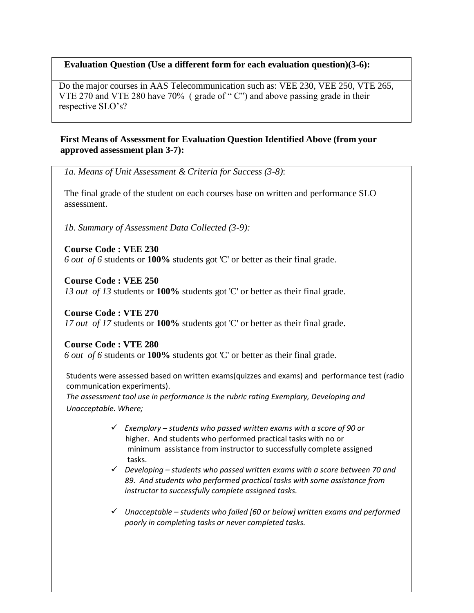### **Evaluation Question (Use a different form for each evaluation question)(3-6):**

Do the major courses in AAS Telecommunication such as: VEE 230, VEE 250, VTE 265, VTE 270 and VTE 280 have 70% ( grade of " C") and above passing grade in their respective SLO's?

### **First Means of Assessment for Evaluation Question Identified Above (from your approved assessment plan 3-7):**

*1a. Means of Unit Assessment & Criteria for Success (3-8)*:

The final grade of the student on each courses base on written and performance SLO assessment.

*1b. Summary of Assessment Data Collected (3-9):*

**Course Code : VEE 230** *6 out of 6* students or **100%** students got 'C' or better as their final grade.

**Course Code : VEE 250** *13 out of 13* students or **100%** students got 'C' or better as their final grade.

**Course Code : VTE 270** *17 out of 17* students or **100%** students got 'C' or better as their final grade.

**Course Code : VTE 280**

*6 out of 6* students or **100%** students got 'C' or better as their final grade.

Students were assessed based on written exams(quizzes and exams) and performance test (radio communication experiments).

*The assessment tool use in performance is the rubric rating Exemplary, Developing and Unacceptable. Where;*

- *Exemplary – students who passed written exams with a score of 90 or*  higher. And students who performed practical tasks with no or minimum assistance from instructor to successfully complete assigned tasks.
- *Developing – students who passed written exams with a score between 70 and 89. And students who performed practical tasks with some assistance from instructor to successfully complete assigned tasks.*
- *Unacceptable – students who failed [60 or below] written exams and performed poorly in completing tasks or never completed tasks.*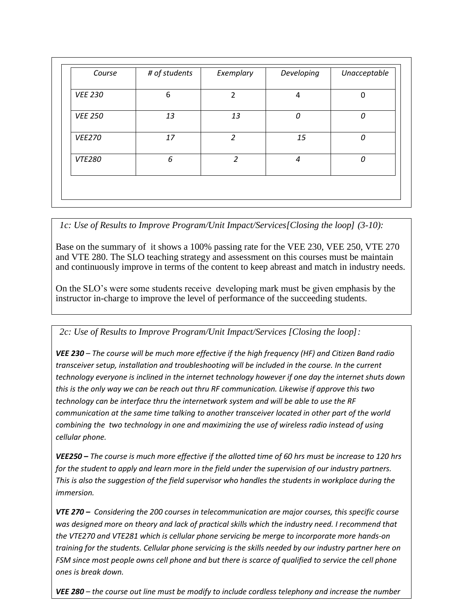| Course         | # of students | Exemplary      | Developing | Unacceptable |
|----------------|---------------|----------------|------------|--------------|
| <b>VEE 230</b> | 6             | $\overline{2}$ | 4          | $\Omega$     |
| <b>VEE 250</b> | 13            | 13             | 0          | 0            |
| <b>VEE270</b>  | 17            | $\overline{2}$ | 15         | 0            |
| <b>VTE280</b>  | 6             | $\mathcal{P}$  | 4          | 0            |
|                |               |                |            |              |

*1c: Use of Results to Improve Program/Unit Impact/Services[Closing the loop] (3-10):*

Base on the summary of it shows a 100% passing rate for the VEE 230, VEE 250, VTE 270 and VTE 280. The SLO teaching strategy and assessment on this courses must be maintain and continuously improve in terms of the content to keep abreast and match in industry needs.

On the SLO's were some students receive developing mark must be given emphasis by the instructor in-charge to improve the level of performance of the succeeding students.

*2c: Use of Results to Improve Program/Unit Impact/Services [Closing the loop]:*

*VEE 230 – The course will be much more effective if the high frequency (HF) and Citizen Band radio transceiver setup, installation and troubleshooting will be included in the course. In the current technology everyone is inclined in the internet technology however if one day the internet shuts down this is the only way we can be reach out thru RF communication. Likewise if approve this two technology can be interface thru the internetwork system and will be able to use the RF communication at the same time talking to another transceiver located in other part of the world combining the two technology in one and maximizing the use of wireless radio instead of using cellular phone.*

*VEE250 – The course is much more effective if the allotted time of 60 hrs must be increase to 120 hrs for the student to apply and learn more in the field under the supervision of our industry partners. This is also the suggestion of the field supervisor who handles the students in workplace during the immersion.*

*VTE 270 – Considering the 200 courses in telecommunication are major courses, this specific course was designed more on theory and lack of practical skills which the industry need. I recommend that the VTE270 and VTE281 which is cellular phone servicing be merge to incorporate more hands-on training for the students. Cellular phone servicing is the skills needed by our industry partner here on FSM since most people owns cell phone and but there is scarce of qualified to service the cell phone ones is break down.* 

*VEE 280 – the course out line must be modify to include cordless telephony and increase the number*